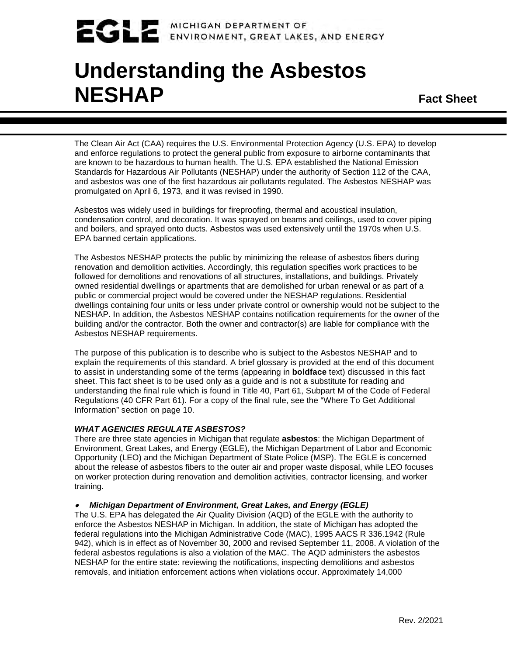## MICHIGAN DEPARTMENT OF ENVIRONMENT, GREAT LAKES, AND ENERGY

# **Understanding the Asbestos NESHAP Fact Sheet**

The Clean Air Act (CAA) requires the U.S. Environmental Protection Agency (U.S. EPA) to develop and enforce regulations to protect the general public from exposure to airborne contaminants that are known to be hazardous to human health. The U.S. EPA established the National Emission Standards for Hazardous Air Pollutants (NESHAP) under the authority of Section 112 of the CAA, and asbestos was one of the first hazardous air pollutants regulated. The Asbestos NESHAP was promulgated on April 6, 1973, and it was revised in 1990.

Asbestos was widely used in buildings for fireproofing, thermal and acoustical insulation, condensation control, and decoration. It was sprayed on beams and ceilings, used to cover piping and boilers, and sprayed onto ducts. Asbestos was used extensively until the 1970s when U.S. EPA banned certain applications.

The Asbestos NESHAP protects the public by minimizing the release of asbestos fibers during renovation and demolition activities. Accordingly, this regulation specifies work practices to be followed for demolitions and renovations of all structures, installations, and buildings. Privately owned residential dwellings or apartments that are demolished for urban renewal or as part of a public or commercial project would be covered under the NESHAP regulations. Residential dwellings containing four units or less under private control or ownership would not be subject to the NESHAP. In addition, the Asbestos NESHAP contains notification requirements for the owner of the building and/or the contractor. Both the owner and contractor(s) are liable for compliance with the Asbestos NESHAP requirements.

The purpose of this publication is to describe who is subject to the Asbestos NESHAP and to explain the requirements of this standard. A brief glossary is provided at the end of this document to assist in understanding some of the terms (appearing in **boldface** text) discussed in this fact sheet. This fact sheet is to be used only as a guide and is not a substitute for reading and understanding the final rule which is found in Title 40, Part 61, Subpart M of the Code of Federal Regulations (40 CFR Part 61). For a copy of the final rule, see the "Where To Get Additional Information" section on page 10.

## *WHAT AGENCIES REGULATE ASBESTOS?*

There are three state agencies in Michigan that regulate **asbestos**: the Michigan Department of Environment, Great Lakes, and Energy (EGLE), the Michigan Department of Labor and Economic Opportunity (LEO) and the Michigan Department of State Police (MSP). The EGLE is concerned about the release of asbestos fibers to the outer air and proper waste disposal, while LEO focuses on worker protection during renovation and demolition activities, contractor licensing, and worker training.

#### •*Michigan Department of Environment, Great Lakes, and Energy (EGLE)*

The U.S. EPA has delegated the Air Quality Division (AQD) of the EGLE with the authority to enforce the Asbestos NESHAP in Michigan. In addition, the state of Michigan has adopted the federal regulations into the Michigan Administrative Code (MAC), 1995 AACS R 336.1942 (Rule 942), which is in effect as of November 30, 2000 and revised September 11, 2008. A violation of the federal asbestos regulations is also a violation of the MAC. The AQD administers the asbestos NESHAP for the entire state: reviewing the notifications, inspecting demolitions and asbestos removals, and initiation enforcement actions when violations occur. Approximately 14,000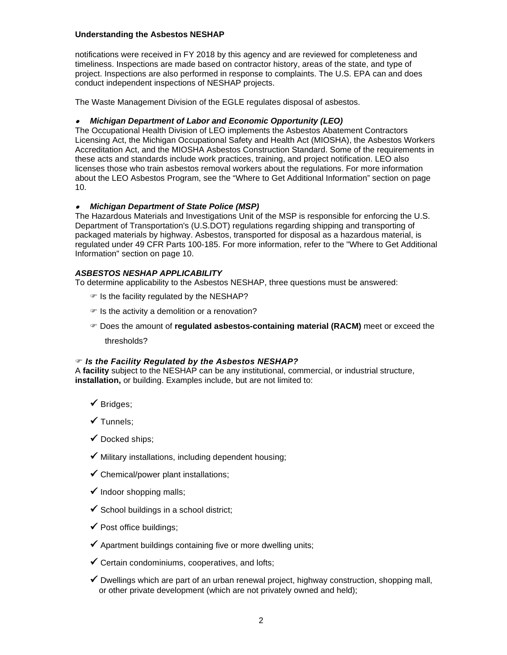notifications were received in FY 2018 by this agency and are reviewed for completeness and timeliness. Inspections are made based on contractor history, areas of the state, and type of project. Inspections are also performed in response to complaints. The U.S. EPA can and does conduct independent inspections of NESHAP projects.

The Waste Management Division of the EGLE regulates disposal of asbestos.

#### •*Michigan Department of Labor and Economic Opportunity (LEO)*

The Occupational Health Division of LEO implements the Asbestos Abatement Contractors Licensing Act, the Michigan Occupational Safety and Health Act (MIOSHA), the Asbestos Workers Accreditation Act, and the MIOSHA Asbestos Construction Standard. Some of the requirements in these acts and standards include work practices, training, and project notification. LEO also licenses those who train asbestos removal workers about the regulations. For more information about the LEO Asbestos Program, see the "Where to Get Additional Information" section on page 10.

## • *Michigan Department of State Police (MSP)*

The Hazardous Materials and Investigations Unit of the MSP is responsible for enforcing the U.S. Department of Transportation's (U.S.DOT) regulations regarding shipping and transporting of packaged materials by highway. Asbestos, transported for disposal as a hazardous material, is regulated under 49 CFR Parts 100-185. For more information, refer to the "Where to Get Additional Information" section on page 10.

#### *ASBESTOS NESHAP APPLICABILITY*

To determine applicability to the Asbestos NESHAP, three questions must be answered:

- $\mathcal P$  is the facility regulated by the NESHAP?
- $\mathcal F$  Is the activity a demolition or a renovation?
- Does the amount of **regulated asbestos-containing material (RACM)** meet or exceed the

thresholds?

#### *Is the Facility Regulated by the Asbestos NESHAP?*

A **facility** subject to the NESHAP can be any institutional, commercial, or industrial structure, **installation,** or building. Examples include, but are not limited to:

- $\checkmark$  Bridges;
- $\checkmark$  Tunnels;
- $\checkmark$  Docked ships;
- $\checkmark$  Military installations, including dependent housing;
- $\checkmark$  Chemical/power plant installations:
- $\checkmark$  Indoor shopping malls;
- $\checkmark$  School buildings in a school district;
- $\checkmark$  Post office buildings;
- $\checkmark$  Apartment buildings containing five or more dwelling units;
- $\checkmark$  Certain condominiums, cooperatives, and lofts;
- $\checkmark$  Dwellings which are part of an urban renewal project, highway construction, shopping mall, or other private development (which are not privately owned and held);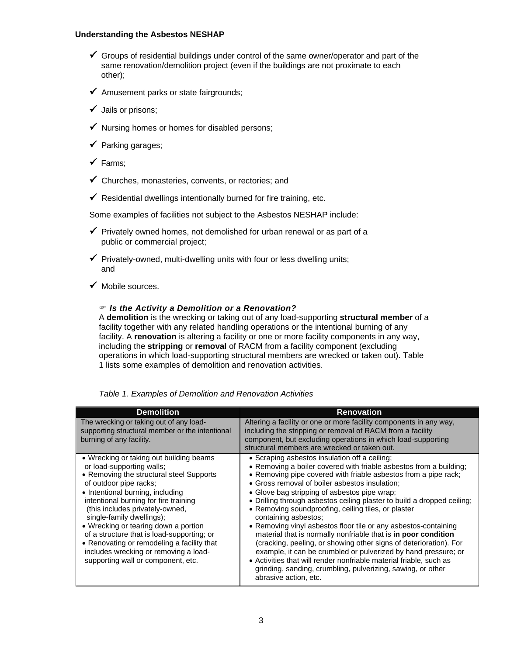- $\checkmark$  Groups of residential buildings under control of the same owner/operator and part of the same renovation/demolition project (even if the buildings are not proximate to each other);
- $\checkmark$  Amusement parks or state fairgrounds;
- $\checkmark$  Jails or prisons;
- $\checkmark$  Nursing homes or homes for disabled persons;
- $\checkmark$  Parking garages;
- $\checkmark$  Farms;
- $\checkmark$  Churches, monasteries, convents, or rectories; and
- $\checkmark$  Residential dwellings intentionally burned for fire training, etc.

Some examples of facilities not subject to the Asbestos NESHAP include:

- $\checkmark$  Privately owned homes, not demolished for urban renewal or as part of a public or commercial project;
- $\checkmark$  Privately-owned, multi-dwelling units with four or less dwelling units; and
- $\checkmark$  Mobile sources.

#### *Is the Activity a Demolition or a Renovation?*

A **demolition** is the wrecking or taking out of any load-supporting **structural member** of a facility together with any related handling operations or the intentional burning of any facility. A **renovation** is altering a facility or one or more facility components in any way, including the **stripping** or **removal** of RACM from a facility component (excluding operations in which load-supporting structural members are wrecked or taken out). Table 1 lists some examples of demolition and renovation activities.

| <b>Demolition</b>                                                                                                                                                                                                                                                                                                                                                                                                                                                                                          | <b>Renovation</b>                                                                                                                                                                                                                                                                                                                                                                                                                                                                                                                                                                                                                                                                                                                                                                                                                                                                            |
|------------------------------------------------------------------------------------------------------------------------------------------------------------------------------------------------------------------------------------------------------------------------------------------------------------------------------------------------------------------------------------------------------------------------------------------------------------------------------------------------------------|----------------------------------------------------------------------------------------------------------------------------------------------------------------------------------------------------------------------------------------------------------------------------------------------------------------------------------------------------------------------------------------------------------------------------------------------------------------------------------------------------------------------------------------------------------------------------------------------------------------------------------------------------------------------------------------------------------------------------------------------------------------------------------------------------------------------------------------------------------------------------------------------|
| The wrecking or taking out of any load-<br>supporting structural member or the intentional<br>burning of any facility.                                                                                                                                                                                                                                                                                                                                                                                     | Altering a facility or one or more facility components in any way,<br>including the stripping or removal of RACM from a facility<br>component, but excluding operations in which load-supporting<br>structural members are wrecked or taken out.                                                                                                                                                                                                                                                                                                                                                                                                                                                                                                                                                                                                                                             |
| • Wrecking or taking out building beams<br>or load-supporting walls:<br>• Removing the structural steel Supports<br>of outdoor pipe racks;<br>• Intentional burning, including<br>intentional burning for fire training<br>(this includes privately-owned,<br>single-family dwellings);<br>• Wrecking or tearing down a portion<br>of a structure that is load-supporting; or<br>• Renovating or remodeling a facility that<br>includes wrecking or removing a load-<br>supporting wall or component, etc. | • Scraping asbestos insulation off a ceiling;<br>• Removing a boiler covered with friable asbestos from a building;<br>• Removing pipe covered with friable asbestos from a pipe rack;<br>• Gross removal of boiler asbestos insulation;<br>• Glove bag stripping of asbestos pipe wrap;<br>• Drilling through asbestos ceiling plaster to build a dropped ceiling;<br>• Removing soundproofing, ceiling tiles, or plaster<br>containing asbestos;<br>• Removing vinyl asbestos floor tile or any asbestos-containing<br>material that is normally nonfriable that is in poor condition<br>(cracking, peeling, or showing other signs of deterioration). For<br>example, it can be crumbled or pulverized by hand pressure; or<br>• Activities that will render nonfriable material friable, such as<br>grinding, sanding, crumbling, pulverizing, sawing, or other<br>abrasive action, etc. |

*Table 1. Examples of Demolition and Renovation Activities*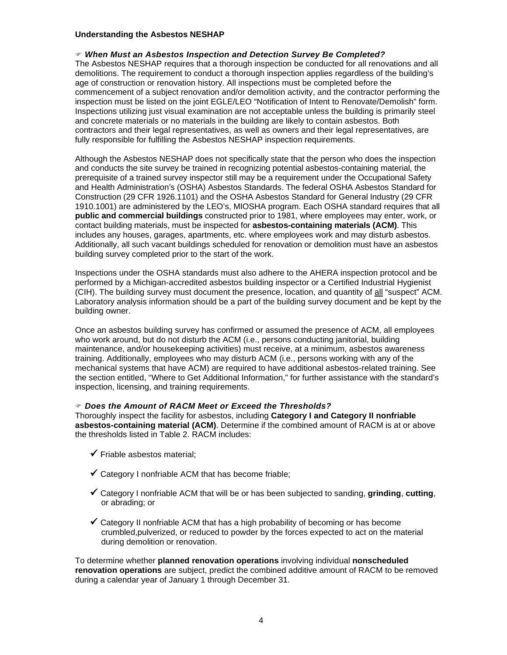#### *When Must an Asbestos Inspection and Detection Survey Be Completed?*

The Asbestos NESHAP requires that a thorough inspection be conducted for all renovations and all demolitions. The requirement to conduct a thorough inspection applies regardless of the building's age of construction or renovation history. All inspections must be completed before the commencement of a subject renovation and/or demolition activity, and the contractor performing the inspection must be listed on the joint EGLE/LEO "Notification of Intent to Renovate/Demolish" form. Inspections utilizing just visual examination are not acceptable unless the building is primarily steel and concrete materials or no materials in the building are likely to contain asbestos. Both contractors and their legal representatives, as well as owners and their legal representatives, are fully responsible for fulfilling the Asbestos NESHAP inspection requirements.

Although the Asbestos NESHAP does not specifically state that the person who does the inspection and conducts the site survey be trained in recognizing potential asbestos-containing material, the prerequisite of a trained survey inspector still may be a requirement under the Occupational Safety and Health Administration's (OSHA) Asbestos Standards. The federal OSHA Asbestos Standard for Construction (29 CFR 1926.1101) and the OSHA Asbestos Standard for General Industry (29 CFR 1910.1001) are administered by the LEO's, MIOSHA program. Each OSHA standard requires that all **public and commercial buildings** constructed prior to 1981, where employees may enter, work, or contact building materials, must be inspected for **asbestos-containing materials (ACM)**. This includes any houses, garages, apartments, etc. where employees work and may disturb asbestos. Additionally, all such vacant buildings scheduled for renovation or demolition must have an asbestos building survey completed prior to the start of the work.

Inspections under the OSHA standards must also adhere to the AHERA inspection protocol and be performed by a Michigan-accredited asbestos building inspector or a Certified Industrial Hygienist (CIH). The building survey must document the presence, location, and quantity of all "suspect" ACM. Laboratory analysis information should be a part of the building survey document and be kept by the building owner.

Once an asbestos building survey has confirmed or assumed the presence of ACM, all employees who work around, but do not disturb the ACM (i.e., persons conducting janitorial, building maintenance, and/or housekeeping activities) must receive, at a minimum, asbestos awareness training. Additionally, employees who may disturb ACM (i.e., persons working with any of the mechanical systems that have ACM) are required to have additional asbestos-related training. See the section entitled, "Where to Get Additional Information," for further assistance with the standard's inspection, licensing, and training requirements.

#### *Does the Amount of RACM Meet or Exceed the Thresholds?*

Thoroughly inspect the facility for asbestos, including **Category I and Category II nonfriable asbestos-containing material (ACM)**. Determine if the combined amount of RACM is at or above the thresholds listed in Table 2. RACM includes:

- $\checkmark$  Friable asbestos material:
- $\checkmark$  Category I nonfriable ACM that has become friable;
- Category I nonfriable ACM that will be or has been subjected to sanding, **grinding**, **cutting**, or abrading; or
- $\checkmark$  Category II nonfriable ACM that has a high probability of becoming or has become crumbled,pulverized, or reduced to powder by the forces expected to act on the material during demolition or renovation.

To determine whether **planned renovation operations** involving individual **nonscheduled renovation operations** are subject, predict the combined additive amount of RACM to be removed during a calendar year of January 1 through December 31.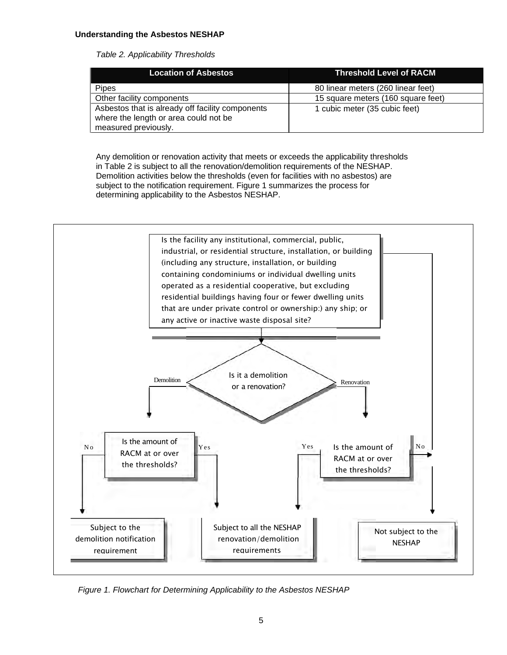*Table 2. Applicability Thresholds*

| <b>Location of Asbestos</b>                      | <b>Threshold Level of RACM</b>     |
|--------------------------------------------------|------------------------------------|
| <b>Pipes</b>                                     | 80 linear meters (260 linear feet) |
| Other facility components                        | 15 square meters (160 square feet) |
| Asbestos that is already off facility components | 1 cubic meter (35 cubic feet)      |
| where the length or area could not be            |                                    |
| measured previously.                             |                                    |

Any demolition or renovation activity that meets or exceeds the applicability thresholds in Table 2 is subject to all the renovation/demolition requirements of the NESHAP. Demolition activities below the thresholds (even for facilities with no asbestos) are subject to the notification requirement. Figure 1 summarizes the process for determining applicability to the Asbestos NESHAP.



*Figure 1. Flowchart for Determining Applicability to the Asbestos NESHAP*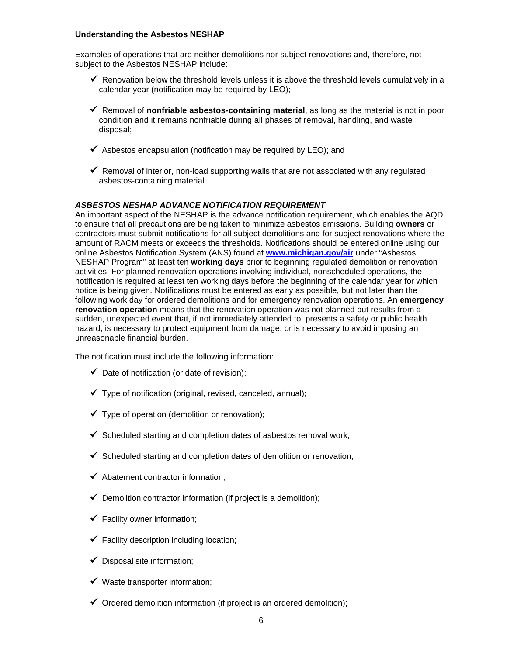Examples of operations that are neither demolitions nor subject renovations and, therefore, not subject to the Asbestos NESHAP include:

- $\checkmark$  Renovation below the threshold levels unless it is above the threshold levels cumulatively in a calendar year (notification may be required by LEO);
- $\checkmark$  Removal of **nonfriable asbestos-containing material**, as long as the material is not in poor condition and it remains nonfriable during all phases of removal, handling, and waste disposal;
- $\checkmark$  Asbestos encapsulation (notification may be required by LEO); and
- $\checkmark$  Removal of interior, non-load supporting walls that are not associated with any regulated asbestos-containing material.

#### *ASBESTOS NESHAP ADVANCE NOTIFICATION REQUIREMENT*

An important aspect of the NESHAP is the advance notification requirement, which enables the AQD to ensure that all precautions are being taken to minimize asbestos emissions. Building **owners** or contractors must submit notifications for all subject demolitions and for subject renovations where the amount of RACM meets or exceeds the thresholds. Notifications should be entered online using our online Asbestos Notification System (ANS) found at **[www.michigan.gov/air](https://www.michigan.gov/air)** under "Asbestos NESHAP Program" at least ten **working days** prior to beginning regulated demolition or renovation activities. For planned renovation operations involving individual, nonscheduled operations, the notification is required at least ten working days before the beginning of the calendar year for which notice is being given. Notifications must be entered as early as possible, but not later than the following work day for ordered demolitions and for emergency renovation operations. An **emergency renovation operation** means that the renovation operation was not planned but results from a sudden, unexpected event that, if not immediately attended to, presents a safety or public health hazard, is necessary to protect equipment from damage, or is necessary to avoid imposing an unreasonable financial burden.

The notification must include the following information:

- $\checkmark$  Date of notification (or date of revision);
- $\checkmark$  Type of notification (original, revised, canceled, annual);
- $\checkmark$  Type of operation (demolition or renovation);
- $\checkmark$  Scheduled starting and completion dates of asbestos removal work;
- $\checkmark$  Scheduled starting and completion dates of demolition or renovation:
- $\checkmark$  Abatement contractor information;
- $\checkmark$  Demolition contractor information (if project is a demolition);
- $\checkmark$  Facility owner information;
- $\checkmark$  Facility description including location;
- $\checkmark$  Disposal site information:
- $\checkmark$  Waste transporter information;
- $\checkmark$  Ordered demolition information (if project is an ordered demolition);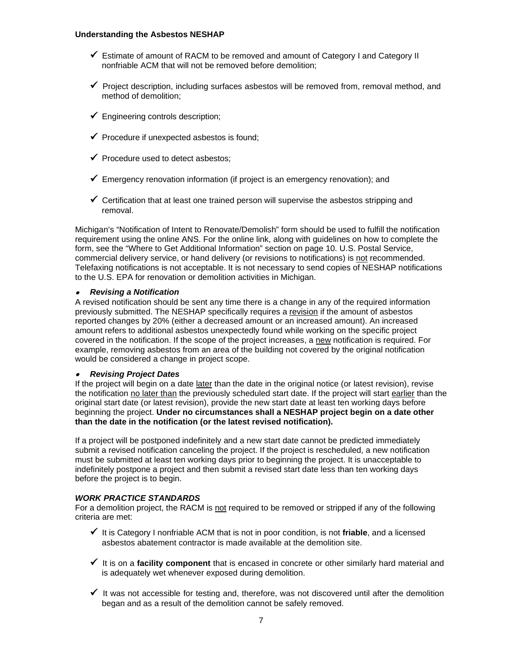- Estimate of amount of RACM to be removed and amount of Category I and Category II nonfriable ACM that will not be removed before demolition;
- $\checkmark$  Project description, including surfaces asbestos will be removed from, removal method, and method of demolition;
- $\checkmark$  Engineering controls description;
- $\checkmark$  Procedure if unexpected asbestos is found;
- $\checkmark$  Procedure used to detect asbestos;
- $\checkmark$  Emergency renovation information (if project is an emergency renovation); and
- $\checkmark$  Certification that at least one trained person will supervise the asbestos stripping and removal.

Michigan's "Notification of Intent to Renovate/Demolish" form should be used to fulfill the notification requirement using the online ANS. For the online link, along with guidelines on how to complete the form, see the "Where to Get Additional Information" section on page 10. U.S. Postal Service, commercial delivery service, or hand delivery (or revisions to notifications) is not recommended. Telefaxing notifications is not acceptable. It is not necessary to send copies of NESHAP notifications to the U.S. EPA for renovation or demolition activities in Michigan.

## • *Revising a Notification*

A revised notification should be sent any time there is a change in any of the required information previously submitted. The NESHAP specifically requires a revision if the amount of asbestos reported changes by 20% (either a decreased amount or an increased amount). An increased amount refers to additional asbestos unexpectedly found while working on the specific project covered in the notification. If the scope of the project increases, a new notification is required. For example, removing asbestos from an area of the building not covered by the original notification would be considered a change in project scope.

#### •*Revising Project Dates*

If the project will begin on a date later than the date in the original notice (or latest revision), revise the notification no later than the previously scheduled start date. If the project will start earlier than the original start date (or latest revision), provide the new start date at least ten working days before beginning the project. **Under no circumstances shall a NESHAP project begin on a date other than the date in the notification (or the latest revised notification).**

If a project will be postponed indefinitely and a new start date cannot be predicted immediately submit a revised notification canceling the project. If the project is rescheduled, a new notification must be submitted at least ten working days prior to beginning the project. It is unacceptable to indefinitely postpone a project and then submit a revised start date less than ten working days before the project is to begin.

## *WORK PRACTICE STANDARDS*

For a demolition project, the RACM is not required to be removed or stripped if any of the following criteria are met:

- $\checkmark$  It is Category I nonfriable ACM that is not in poor condition, is not **friable**, and a licensed asbestos abatement contractor is made available at the demolition site.
- $\checkmark$  It is on a **facility component** that is encased in concrete or other similarly hard material and is adequately wet whenever exposed during demolition.
- $\checkmark$  It was not accessible for testing and, therefore, was not discovered until after the demolition began and as a result of the demolition cannot be safely removed.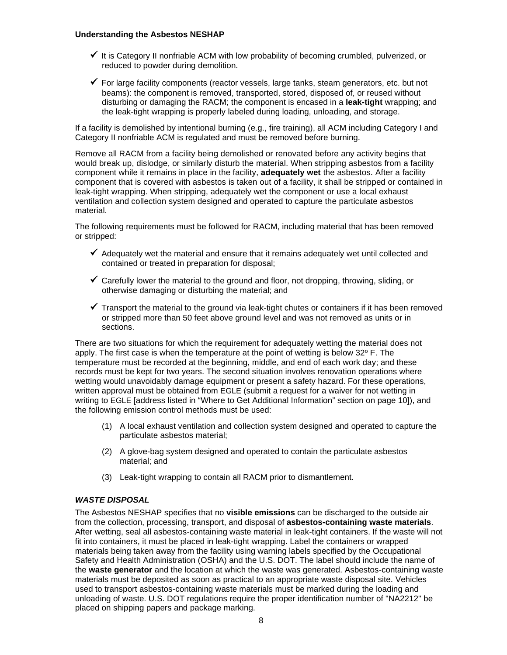- $\checkmark$  It is Category II nonfriable ACM with low probability of becoming crumbled, pulverized, or reduced to powder during demolition.
- $\checkmark$  For large facility components (reactor vessels, large tanks, steam generators, etc. but not beams): the component is removed, transported, stored, disposed of, or reused without disturbing or damaging the RACM; the component is encased in a **leak-tight** wrapping; and the leak-tight wrapping is properly labeled during loading, unloading, and storage.

If a facility is demolished by intentional burning (e.g., fire training), all ACM including Category I and Category II nonfriable ACM is regulated and must be removed before burning.

Remove all RACM from a facility being demolished or renovated before any activity begins that would break up, dislodge, or similarly disturb the material. When stripping asbestos from a facility component while it remains in place in the facility, **adequately wet** the asbestos. After a facility component that is covered with asbestos is taken out of a facility, it shall be stripped or contained in leak-tight wrapping. When stripping, adequately wet the component or use a local exhaust ventilation and collection system designed and operated to capture the particulate asbestos material.

The following requirements must be followed for RACM, including material that has been removed or stripped:

- $\checkmark$  Adequately wet the material and ensure that it remains adequately wet until collected and contained or treated in preparation for disposal;
- $\checkmark$  Carefully lower the material to the ground and floor, not dropping, throwing, sliding, or otherwise damaging or disturbing the material; and
- $\checkmark$  Transport the material to the ground via leak-tight chutes or containers if it has been removed or stripped more than 50 feet above ground level and was not removed as units or in sections.

There are two situations for which the requirement for adequately wetting the material does not apply. The first case is when the temperature at the point of wetting is below  $32^{\circ}$  F. The temperature must be recorded at the beginning, middle, and end of each work day; and these records must be kept for two years. The second situation involves renovation operations where wetting would unavoidably damage equipment or present a safety hazard. For these operations, written approval must be obtained from EGLE (submit a request for a waiver for not wetting in writing to EGLE [address listed in "Where to Get Additional Information" section on page 10]), and the following emission control methods must be used:

- (1) A local exhaust ventilation and collection system designed and operated to capture the particulate asbestos material;
- (2) A glove-bag system designed and operated to contain the particulate asbestos material; and
- (3) Leak-tight wrapping to contain all RACM prior to dismantlement.

## *WASTE DISPOSAL*

The Asbestos NESHAP specifies that no **visible emissions** can be discharged to the outside air from the collection, processing, transport, and disposal of **asbestos-containing waste materials**. After wetting, seal all asbestos-containing waste material in leak-tight containers. If the waste will not fit into containers, it must be placed in leak-tight wrapping. Label the containers or wrapped materials being taken away from the facility using warning labels specified by the Occupational Safety and Health Administration (OSHA) and the U.S. DOT. The label should include the name of the **waste generator** and the location at which the waste was generated. Asbestos-containing waste materials must be deposited as soon as practical to an appropriate waste disposal site. Vehicles used to transport asbestos-containing waste materials must be marked during the loading and unloading of waste. U.S. DOT regulations require the proper identification number of "NA2212" be placed on shipping papers and package marking.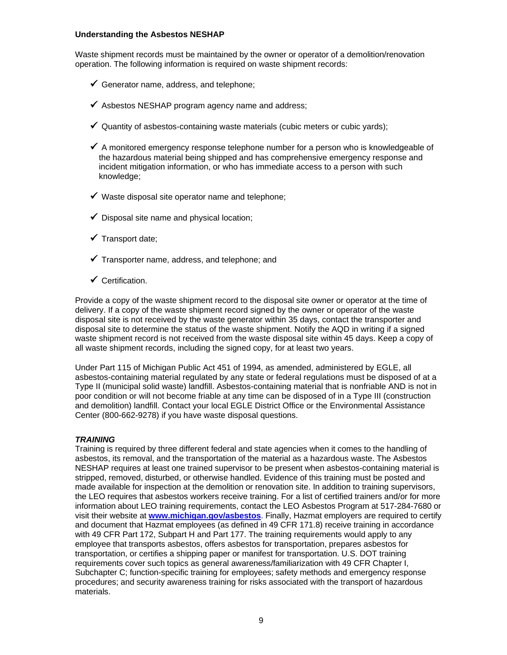Waste shipment records must be maintained by the owner or operator of a demolition/renovation operation. The following information is required on waste shipment records:

- Generator name, address, and telephone;
- $\checkmark$  Asbestos NESHAP program agency name and address;
- $\checkmark$  Quantity of asbestos-containing waste materials (cubic meters or cubic yards);
- $\checkmark$  A monitored emergency response telephone number for a person who is knowledgeable of the hazardous material being shipped and has comprehensive emergency response and incident mitigation information, or who has immediate access to a person with such knowledge;
- $\checkmark$  Waste disposal site operator name and telephone:
- $\checkmark$  Disposal site name and physical location;
- $\checkmark$  Transport date:
- $\checkmark$  Transporter name, address, and telephone; and
- $\checkmark$  Certification.

Provide a copy of the waste shipment record to the disposal site owner or operator at the time of delivery. If a copy of the waste shipment record signed by the owner or operator of the waste disposal site is not received by the waste generator within 35 days, contact the transporter and disposal site to determine the status of the waste shipment. Notify the AQD in writing if a signed waste shipment record is not received from the waste disposal site within 45 days. Keep a copy of all waste shipment records, including the signed copy, for at least two years.

Under Part 115 of Michigan Public Act 451 of 1994, as amended, administered by EGLE, all asbestos-containing material regulated by any state or federal regulations must be disposed of at a Type II (municipal solid waste) landfill. Asbestos-containing material that is nonfriable AND is not in poor condition or will not become friable at any time can be disposed of in a Type III (construction and demolition) landfill. Contact your local EGLE District Office or the Environmental Assistance Center (800-662-9278) if you have waste disposal questions.

#### *TRAINING*

Training is required by three different federal and state agencies when it comes to the handling of asbestos, its removal, and the transportation of the material as a hazardous waste. The Asbestos NESHAP requires at least one trained supervisor to be present when asbestos-containing material is stripped, removed, disturbed, or otherwise handled. Evidence of this training must be posted and made available for inspection at the demolition or renovation site. In addition to training supervisors, the LEO requires that asbestos workers receive training. For a list of certified trainers and/or for more information about LEO training requirements, contact the LEO Asbestos Program at 517-284-7680 or visit their website at **[www.michigan.gov/asbestos](http://www.michigan.gov/asbestos)**. Finally, Hazmat employers are required to certify and document that Hazmat employees (as defined in 49 CFR 171.8) receive training in accordance with 49 CFR Part 172, Subpart H and Part 177. The training requirements would apply to any employee that transports asbestos, offers asbestos for transportation, prepares asbestos for transportation, or certifies a shipping paper or manifest for transportation. U.S. DOT training requirements cover such topics as general awareness/familiarization with 49 CFR Chapter I, Subchapter C; function-specific training for employees; safety methods and emergency response procedures; and security awareness training for risks associated with the transport of hazardous materials.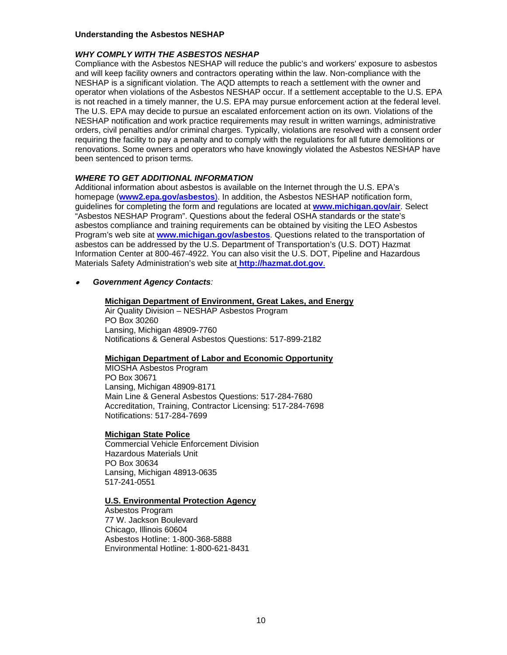#### *WHY COMPLY WITH THE ASBESTOS NESHAP*

Compliance with the Asbestos NESHAP will reduce the public's and workers' exposure to asbestos and will keep facility owners and contractors operating within the law. Non-compliance with the NESHAP is a significant violation. The AQD attempts to reach a settlement with the owner and operator when violations of the Asbestos NESHAP occur. If a settlement acceptable to the U.S. EPA is not reached in a timely manner, the U.S. EPA may pursue enforcement action at the federal level. The U.S. EPA may decide to pursue an escalated enforcement action on its own. Violations of the NESHAP notification and work practice requirements may result in written warnings, administrative orders, civil penalties and/or criminal charges. Typically, violations are resolved with a consent order requiring the facility to pay a penalty and to comply with the regulations for all future demolitions or renovations. Some owners and operators who have knowingly violated the Asbestos NESHAP have been sentenced to prison terms.

#### *WHERE TO GET ADDITIONAL INFORMATION*

Additional information about asbestos is available on the Internet through the U.S. EPA's homepage (**[www2.epa.gov/asbestos](http://www2.epa.gov/asbestos))**). In addition, the Asbestos NESHAP notification form, guidelines for completing the form and regulations are located at **[www.michigan.gov/air](http://www.michigan.gov/air)**. Select "Asbestos NESHAP Program". Questions about the federal OSHA standards or the state's asbestos compliance and training requirements can be obtained by visiting the LEO Asbestos Program's web site at **[www.michigan.gov/asbestos](http://www.michigan.gov/asbestos)**. Questions related to the transportation of asbestos can be addressed by the U.S. Department of Transportation's (U.S. DOT) Hazmat Information Center at 800-467-4922. You can also visit the U.S. DOT, Pipeline and Hazardous Materials Safety Administration's web site a[t](http://hazmat.dot.gov/) **<http://hazmat.dot.gov>**.

#### •*Government Agency Contacts:*

#### **Michigan Department of Environment, Great Lakes, and Energy**

Air Quality Division – NESHAP Asbestos Program PO Box 30260 Lansing, Michigan 48909-7760 Notifications & General Asbestos Questions: 517-899-2182

#### **Michigan Department of Labor and Economic Opportunity**

MIOSHA Asbestos Program PO Box 30671 Lansing, Michigan 48909-8171 Main Line & General Asbestos Questions: 517-284-7680 Accreditation, Training, Contractor Licensing: 517-284-7698 Notifications: 517-284-7699

#### **Michigan State Police**

Commercial Vehicle Enforcement Division Hazardous Materials Unit PO Box 30634 Lansing, Michigan 48913-0635 517-241-0551

#### **U.S. Environmental Protection Agency**

Asbestos Program 77 W. Jackson Boulevard Chicago, Illinois 60604 Asbestos Hotline: 1-800-368-5888 Environmental Hotline: 1-800-621-8431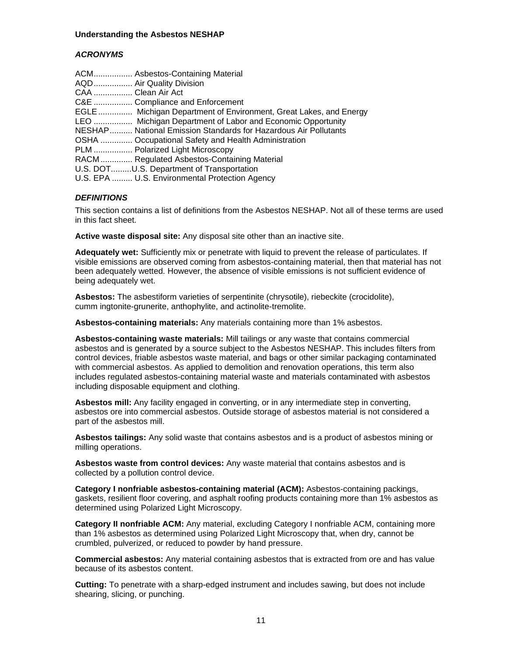#### *ACRONYMS*

|                    | ACM Asbestos-Containing Material                                  |
|--------------------|-------------------------------------------------------------------|
|                    | AQD  Air Quality Division                                         |
| CAA  Clean Air Act |                                                                   |
|                    | C&E  Compliance and Enforcement                                   |
|                    | EGLE  Michigan Department of Environment, Great Lakes, and Energy |
|                    | LEO  Michigan Department of Labor and Economic Opportunity        |
|                    | NESHAP National Emission Standards for Hazardous Air Pollutants   |
|                    | OSHA  Occupational Safety and Health Administration               |
|                    | PLM  Polarized Light Microscopy                                   |
|                    | RACM Regulated Asbestos-Containing Material                       |
|                    | U.S. DOTU.S. Department of Transportation                         |
|                    | U.S. EPA  U.S. Environmental Protection Agency                    |

## *DEFINITIONS*

This section contains a list of definitions from the Asbestos NESHAP. Not all of these terms are used in this fact sheet.

**Active waste disposal site:** Any disposal site other than an inactive site.

**Adequately wet:** Sufficiently mix or penetrate with liquid to prevent the release of particulates. If visible emissions are observed coming from asbestos-containing material, then that material has not been adequately wetted. However, the absence of visible emissions is not sufficient evidence of being adequately wet.

**Asbestos:** The asbestiform varieties of serpentinite (chrysotile), riebeckite (crocidolite), cumm ingtonite-grunerite, anthophylite, and actinolite-tremolite.

**Asbestos-containing materials:** Any materials containing more than 1% asbestos.

**Asbestos-containing waste materials:** Mill tailings or any waste that contains commercial asbestos and is generated by a source subject to the Asbestos NESHAP. This includes filters from control devices, friable asbestos waste material, and bags or other similar packaging contaminated with commercial asbestos. As applied to demolition and renovation operations, this term also includes regulated asbestos-containing material waste and materials contaminated with asbestos including disposable equipment and clothing.

**Asbestos mill:** Any facility engaged in converting, or in any intermediate step in converting, asbestos ore into commercial asbestos. Outside storage of asbestos material is not considered a part of the asbestos mill.

**Asbestos tailings:** Any solid waste that contains asbestos and is a product of asbestos mining or milling operations.

**Asbestos waste from control devices:** Any waste material that contains asbestos and is collected by a pollution control device.

**Category I nonfriable asbestos-containing material (ACM):** Asbestos-containing packings, gaskets, resilient floor covering, and asphalt roofing products containing more than 1% asbestos as determined using Polarized Light Microscopy.

**Category II nonfriable ACM:** Any material, excluding Category I nonfriable ACM, containing more than 1% asbestos as determined using Polarized Light Microscopy that, when dry, cannot be crumbled, pulverized, or reduced to powder by hand pressure.

**Commercial asbestos:** Any material containing asbestos that is extracted from ore and has value because of its asbestos content.

**Cutting:** To penetrate with a sharp-edged instrument and includes sawing, but does not include shearing, slicing, or punching.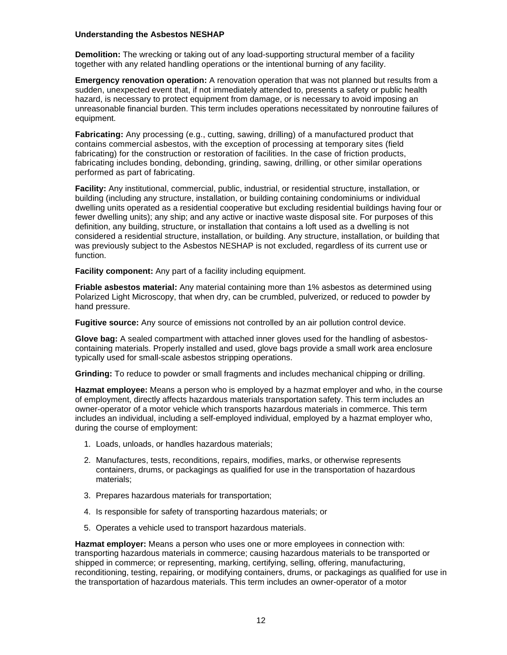**Demolition:** The wrecking or taking out of any load-supporting structural member of a facility together with any related handling operations or the intentional burning of any facility.

**Emergency renovation operation:** A renovation operation that was not planned but results from a sudden, unexpected event that, if not immediately attended to, presents a safety or public health hazard, is necessary to protect equipment from damage, or is necessary to avoid imposing an unreasonable financial burden. This term includes operations necessitated by nonroutine failures of equipment.

**Fabricating:** Any processing (e.g., cutting, sawing, drilling) of a manufactured product that contains commercial asbestos, with the exception of processing at temporary sites (field fabricating) for the construction or restoration of facilities. In the case of friction products, fabricating includes bonding, debonding, grinding, sawing, drilling, or other similar operations performed as part of fabricating.

**Facility:** Any institutional, commercial, public, industrial, or residential structure, installation, or building (including any structure, installation, or building containing condominiums or individual dwelling units operated as a residential cooperative but excluding residential buildings having four or fewer dwelling units); any ship; and any active or inactive waste disposal site. For purposes of this definition, any building, structure, or installation that contains a loft used as a dwelling is not considered a residential structure, installation, or building. Any structure, installation, or building that was previously subject to the Asbestos NESHAP is not excluded, regardless of its current use or function.

**Facility component:** Any part of a facility including equipment.

**Friable asbestos material:** Any material containing more than 1% asbestos as determined using Polarized Light Microscopy, that when dry, can be crumbled, pulverized, or reduced to powder by hand pressure.

**Fugitive source:** Any source of emissions not controlled by an air pollution control device.

**Glove bag:** A sealed compartment with attached inner gloves used for the handling of asbestoscontaining materials. Properly installed and used, glove bags provide a small work area enclosure typically used for small-scale asbestos stripping operations.

**Grinding:** To reduce to powder or small fragments and includes mechanical chipping or drilling.

**Hazmat employee:** Means a person who is employed by a hazmat employer and who, in the course of employment, directly affects hazardous materials transportation safety. This term includes an owner-operator of a motor vehicle which transports hazardous materials in commerce. This term includes an individual, including a self-employed individual, employed by a hazmat employer who, during the course of employment:

- 1. Loads, unloads, or handles hazardous materials;
- 2. Manufactures, tests, reconditions, repairs, modifies, marks, or otherwise represents containers, drums, or packagings as qualified for use in the transportation of hazardous materials;
- 3. Prepares hazardous materials for transportation;
- 4. Is responsible for safety of transporting hazardous materials; or
- 5. Operates a vehicle used to transport hazardous materials.

**Hazmat employer:** Means a person who uses one or more employees in connection with: transporting hazardous materials in commerce; causing hazardous materials to be transported or shipped in commerce; or representing, marking, certifying, selling, offering, manufacturing, reconditioning, testing, repairing, or modifying containers, drums, or packagings as qualified for use in the transportation of hazardous materials. This term includes an owner-operator of a motor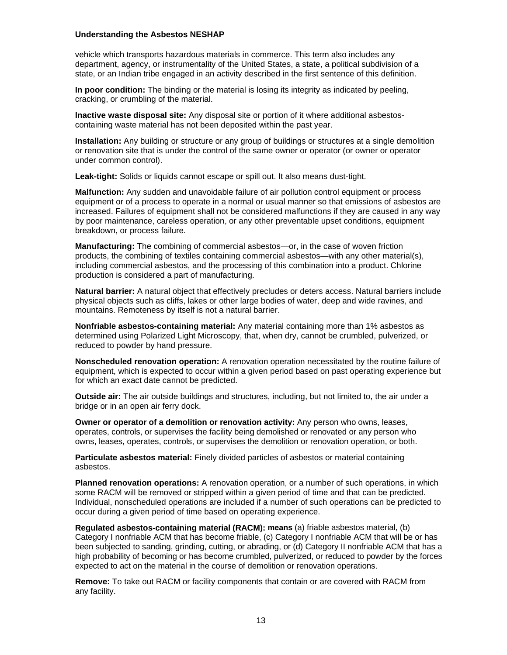vehicle which transports hazardous materials in commerce. This term also includes any department, agency, or instrumentality of the United States, a state, a political subdivision of a state, or an Indian tribe engaged in an activity described in the first sentence of this definition.

**In poor condition:** The binding or the material is losing its integrity as indicated by peeling, cracking, or crumbling of the material.

**Inactive waste disposal site:** Any disposal site or portion of it where additional asbestoscontaining waste material has not been deposited within the past year.

**Installation:** Any building or structure or any group of buildings or structures at a single demolition or renovation site that is under the control of the same owner or operator (or owner or operator under common control).

**Leak-tight:** Solids or liquids cannot escape or spill out. It also means dust-tight.

**Malfunction:** Any sudden and unavoidable failure of air pollution control equipment or process equipment or of a process to operate in a normal or usual manner so that emissions of asbestos are increased. Failures of equipment shall not be considered malfunctions if they are caused in any way by poor maintenance, careless operation, or any other preventable upset conditions, equipment breakdown, or process failure.

**Manufacturing:** The combining of commercial asbestos—or, in the case of woven friction products, the combining of textiles containing commercial asbestos—with any other material(s), including commercial asbestos, and the processing of this combination into a product. Chlorine production is considered a part of manufacturing.

**Natural barrier:** A natural object that effectively precludes or deters access. Natural barriers include physical objects such as cliffs, lakes or other large bodies of water, deep and wide ravines, and mountains. Remoteness by itself is not a natural barrier.

**Nonfriable asbestos-containing material:** Any material containing more than 1% asbestos as determined using Polarized Light Microscopy, that, when dry, cannot be crumbled, pulverized, or reduced to powder by hand pressure.

**Nonscheduled renovation operation:** A renovation operation necessitated by the routine failure of equipment, which is expected to occur within a given period based on past operating experience but for which an exact date cannot be predicted.

**Outside air:** The air outside buildings and structures, including, but not limited to, the air under a bridge or in an open air ferry dock.

**Owner or operator of a demolition or renovation activity:** Any person who owns, leases, operates, controls, or supervises the facility being demolished or renovated or any person who owns, leases, operates, controls, or supervises the demolition or renovation operation, or both.

**Particulate asbestos material:** Finely divided particles of asbestos or material containing asbestos.

**Planned renovation operations:** A renovation operation, or a number of such operations, in which some RACM will be removed or stripped within a given period of time and that can be predicted. Individual, nonscheduled operations are included if a number of such operations can be predicted to occur during a given period of time based on operating experience.

**Regulated asbestos-containing material (RACM): means** (a) friable asbestos material, (b) Category I nonfriable ACM that has become friable, (c) Category I nonfriable ACM that will be or has been subjected to sanding, grinding, cutting, or abrading, or (d) Category II nonfriable ACM that has a high probability of becoming or has become crumbled, pulverized, or reduced to powder by the forces expected to act on the material in the course of demolition or renovation operations.

**Remove:** To take out RACM or facility components that contain or are covered with RACM from any facility.